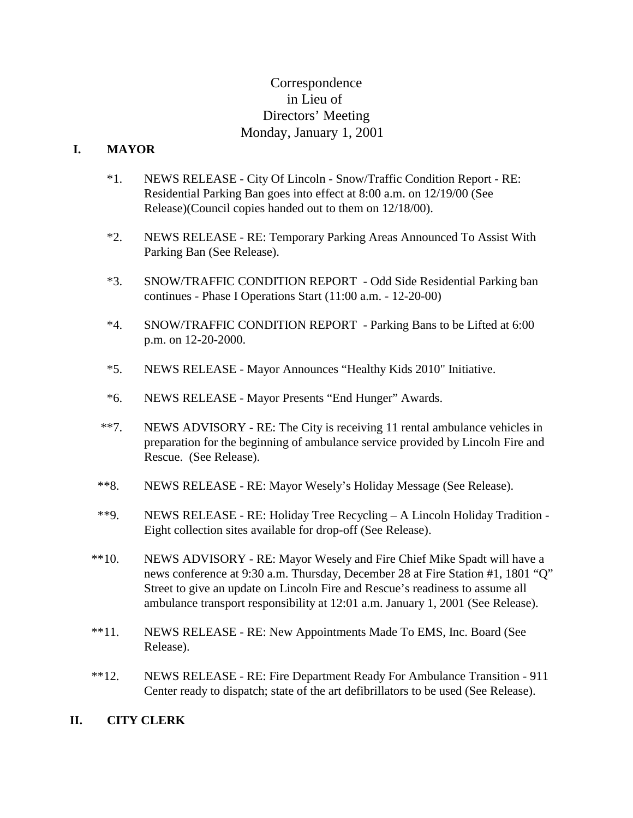# Correspondence in Lieu of Directors' Meeting Monday, January 1, 2001

#### **I. MAYOR**

- \*1. NEWS RELEASE City Of Lincoln Snow/Traffic Condition Report RE: Residential Parking Ban goes into effect at 8:00 a.m. on 12/19/00 (See Release)(Council copies handed out to them on 12/18/00).
- \*2. NEWS RELEASE RE: Temporary Parking Areas Announced To Assist With Parking Ban (See Release).
- \*3. SNOW/TRAFFIC CONDITION REPORT Odd Side Residential Parking ban continues - Phase I Operations Start (11:00 a.m. - 12-20-00)
- \*4. SNOW/TRAFFIC CONDITION REPORT Parking Bans to be Lifted at 6:00 p.m. on 12-20-2000.
- \*5. NEWS RELEASE Mayor Announces "Healthy Kids 2010" Initiative.
- \*6. NEWS RELEASE Mayor Presents "End Hunger" Awards.
- \*\*7. NEWS ADVISORY RE: The City is receiving 11 rental ambulance vehicles in preparation for the beginning of ambulance service provided by Lincoln Fire and Rescue. (See Release).
- \*\*8. NEWS RELEASE RE: Mayor Wesely's Holiday Message (See Release).
- \*\*9. NEWS RELEASE RE: Holiday Tree Recycling A Lincoln Holiday Tradition Eight collection sites available for drop-off (See Release).
- \*\*10. NEWS ADVISORY RE: Mayor Wesely and Fire Chief Mike Spadt will have a news conference at 9:30 a.m. Thursday, December 28 at Fire Station #1, 1801 "Q" Street to give an update on Lincoln Fire and Rescue's readiness to assume all ambulance transport responsibility at 12:01 a.m. January 1, 2001 (See Release).
- \*\*11. NEWS RELEASE RE: New Appointments Made To EMS, Inc. Board (See Release).
- \*\*12. NEWS RELEASE RE: Fire Department Ready For Ambulance Transition 911 Center ready to dispatch; state of the art defibrillators to be used (See Release).

#### **II. CITY CLERK**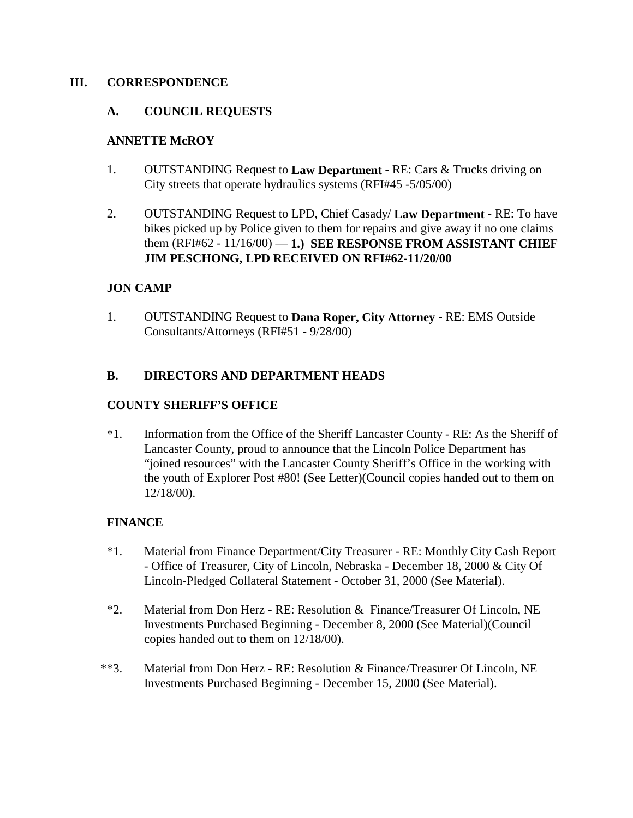#### **III. CORRESPONDENCE**

#### **A. COUNCIL REQUESTS**

#### **ANNETTE McROY**

- 1. OUTSTANDING Request to **Law Department** RE: Cars & Trucks driving on City streets that operate hydraulics systems (RFI#45 -5/05/00)
- 2. OUTSTANDING Request to LPD, Chief Casady/ **Law Department** RE: To have bikes picked up by Police given to them for repairs and give away if no one claims them (RFI#62 - 11/16/00) — **1.) SEE RESPONSE FROM ASSISTANT CHIEF JIM PESCHONG, LPD RECEIVED ON RFI#62-11/20/00**

#### **JON CAMP**

1. OUTSTANDING Request to **Dana Roper, City Attorney** - RE: EMS Outside Consultants/Attorneys (RFI#51 - 9/28/00)

### **B. DIRECTORS AND DEPARTMENT HEADS**

#### **COUNTY SHERIFF'S OFFICE**

\*1. Information from the Office of the Sheriff Lancaster County - RE: As the Sheriff of Lancaster County, proud to announce that the Lincoln Police Department has "joined resources" with the Lancaster County Sheriff's Office in the working with the youth of Explorer Post #80! (See Letter)(Council copies handed out to them on 12/18/00).

### **FINANCE**

- \*1. Material from Finance Department/City Treasurer RE: Monthly City Cash Report - Office of Treasurer, City of Lincoln, Nebraska - December 18, 2000 & City Of Lincoln-Pledged Collateral Statement - October 31, 2000 (See Material).
- \*2. Material from Don Herz RE: Resolution & Finance/Treasurer Of Lincoln, NE Investments Purchased Beginning - December 8, 2000 (See Material)(Council copies handed out to them on 12/18/00).
- \*\*3. Material from Don Herz RE: Resolution & Finance/Treasurer Of Lincoln, NE Investments Purchased Beginning - December 15, 2000 (See Material).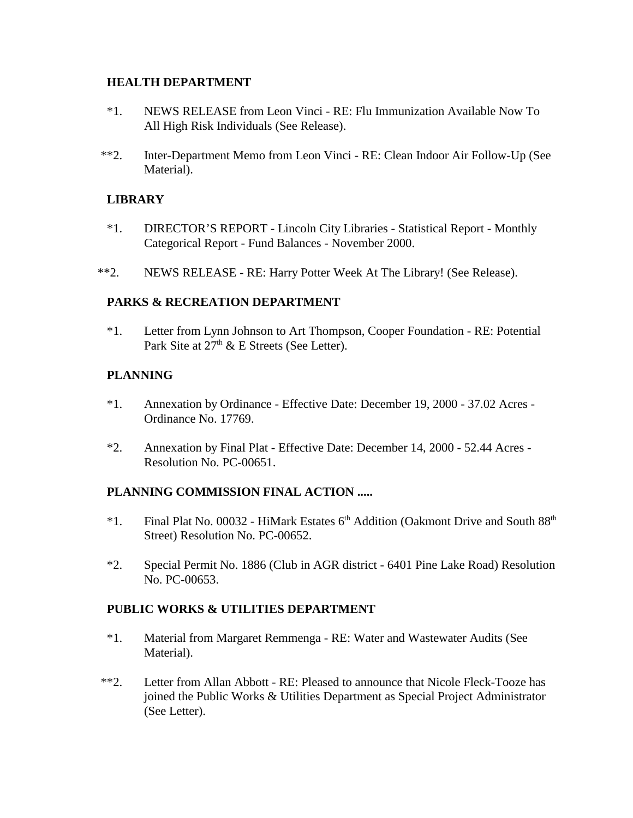#### **HEALTH DEPARTMENT**

- \*1. NEWS RELEASE from Leon Vinci RE: Flu Immunization Available Now To All High Risk Individuals (See Release).
- \*\*2. Inter-Department Memo from Leon Vinci RE: Clean Indoor Air Follow-Up (See Material).

### **LIBRARY**

- \*1. DIRECTOR'S REPORT Lincoln City Libraries Statistical Report Monthly Categorical Report - Fund Balances - November 2000.
- \*\*2. NEWS RELEASE RE: Harry Potter Week At The Library! (See Release).

### **PARKS & RECREATION DEPARTMENT**

\*1. Letter from Lynn Johnson to Art Thompson, Cooper Foundation - RE: Potential Park Site at  $27<sup>th</sup>$  & E Streets (See Letter).

## **PLANNING**

- \*1. Annexation by Ordinance Effective Date: December 19, 2000 37.02 Acres Ordinance No. 17769.
- \*2. Annexation by Final Plat Effective Date: December 14, 2000 52.44 Acres Resolution No. PC-00651.

### **PLANNING COMMISSION FINAL ACTION .....**

- $*1.$  Final Plat No. 00032 HiMark Estates 6<sup>th</sup> Addition (Oakmont Drive and South  $88<sup>th</sup>$ Street) Resolution No. PC-00652.
- \*2. Special Permit No. 1886 (Club in AGR district 6401 Pine Lake Road) Resolution No. PC-00653.

### **PUBLIC WORKS & UTILITIES DEPARTMENT**

- \*1. Material from Margaret Remmenga RE: Water and Wastewater Audits (See Material).
- \*\*2. Letter from Allan Abbott RE: Pleased to announce that Nicole Fleck-Tooze has joined the Public Works & Utilities Department as Special Project Administrator (See Letter).